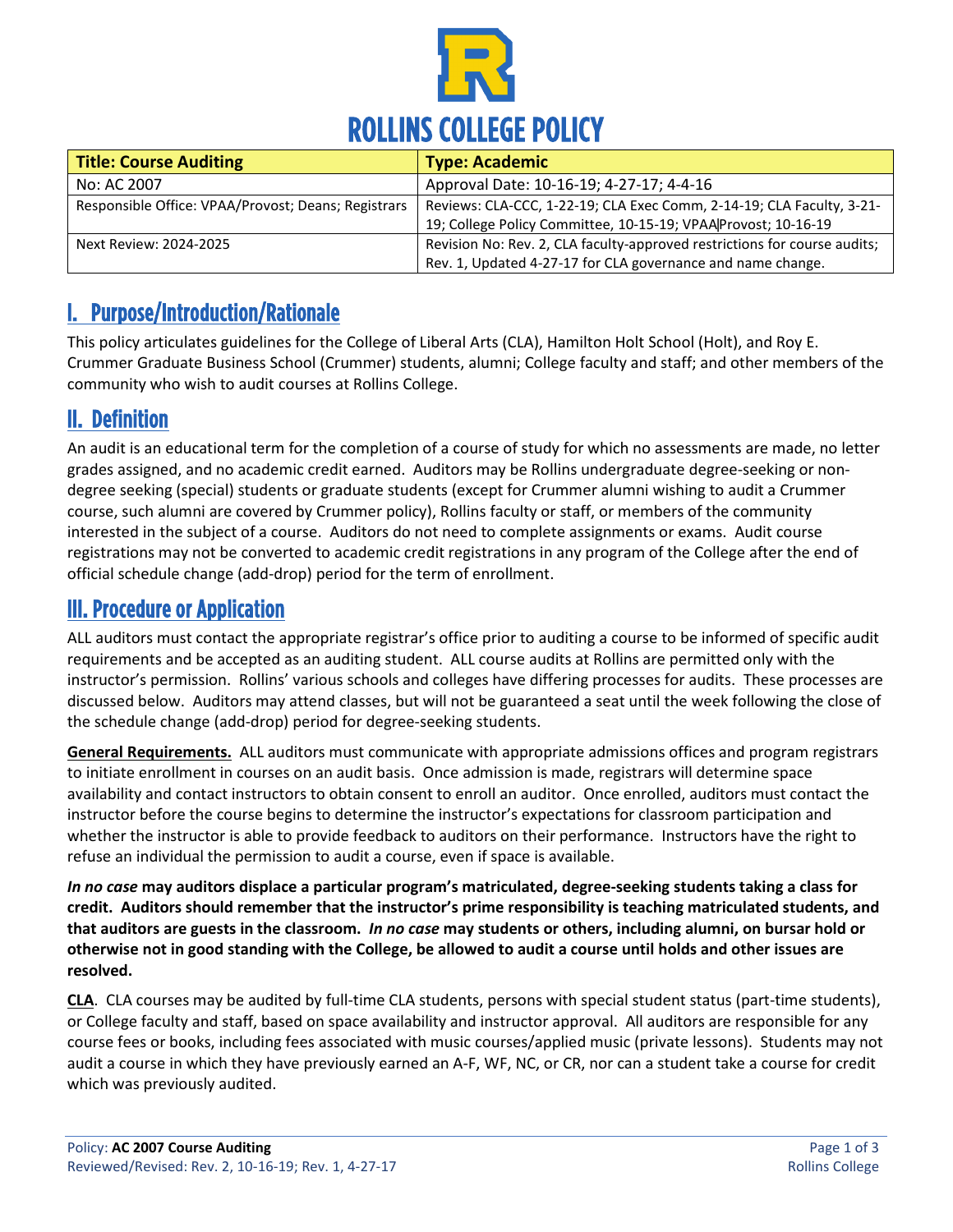

| <b>Title: Course Auditing</b>                       | <b>Type: Academic</b>                                                     |
|-----------------------------------------------------|---------------------------------------------------------------------------|
| No: AC 2007                                         | Approval Date: 10-16-19; 4-27-17; 4-4-16                                  |
| Responsible Office: VPAA/Provost; Deans; Registrars | Reviews: CLA-CCC, 1-22-19; CLA Exec Comm, 2-14-19; CLA Faculty, 3-21-     |
|                                                     | 19; College Policy Committee, 10-15-19; VPAA Provost; 10-16-19            |
| Next Review: 2024-2025                              | Revision No: Rev. 2, CLA faculty-approved restrictions for course audits; |
|                                                     | Rev. 1, Updated 4-27-17 for CLA governance and name change.               |

### I. Purpose/Introduction/Rationale

This policy articulates guidelines for the College of Liberal Arts (CLA), Hamilton Holt School (Holt), and Roy E. Crummer Graduate Business School (Crummer) students, alumni; College faculty and staff; and other members of the community who wish to audit courses at Rollins College.

#### II. Definition

An audit is an educational term for the completion of a course of study for which no assessments are made, no letter grades assigned, and no academic credit earned. Auditors may be Rollins undergraduate degree-seeking or nondegree seeking (special) students or graduate students (except for Crummer alumni wishing to audit a Crummer course, such alumni are covered by Crummer policy), Rollins faculty or staff, or members of the community interested in the subject of a course. Auditors do not need to complete assignments or exams. Audit course registrations may not be converted to academic credit registrations in any program of the College after the end of official schedule change (add-drop) period for the term of enrollment.

#### III. Procedure or Application

ALL auditors must contact the appropriate registrar's office prior to auditing a course to be informed of specific audit requirements and be accepted as an auditing student. ALL course audits at Rollins are permitted only with the instructor's permission. Rollins' various schools and colleges have differing processes for audits. These processes are discussed below. Auditors may attend classes, but will not be guaranteed a seat until the week following the close of the schedule change (add-drop) period for degree-seeking students.

**General Requirements.** ALL auditors must communicate with appropriate admissions offices and program registrars to initiate enrollment in courses on an audit basis. Once admission is made, registrars will determine space availability and contact instructors to obtain consent to enroll an auditor. Once enrolled, auditors must contact the instructor before the course begins to determine the instructor's expectations for classroom participation and whether the instructor is able to provide feedback to auditors on their performance. Instructors have the right to refuse an individual the permission to audit a course, even if space is available.

*In no case* **may auditors displace a particular program's matriculated, degree-seeking students taking a class for credit. Auditors should remember that the instructor's prime responsibility is teaching matriculated students, and that auditors are guests in the classroom.** *In no case* **may students or others, including alumni, on bursar hold or otherwise not in good standing with the College, be allowed to audit a course until holds and other issues are resolved.**

**CLA**. CLA courses may be audited by full-time CLA students, persons with special student status (part-time students), or College faculty and staff, based on space availability and instructor approval. All auditors are responsible for any course fees or books, including fees associated with music courses/applied music (private lessons). Students may not audit a course in which they have previously earned an A-F, WF, NC, or CR, nor can a student take a course for credit which was previously audited.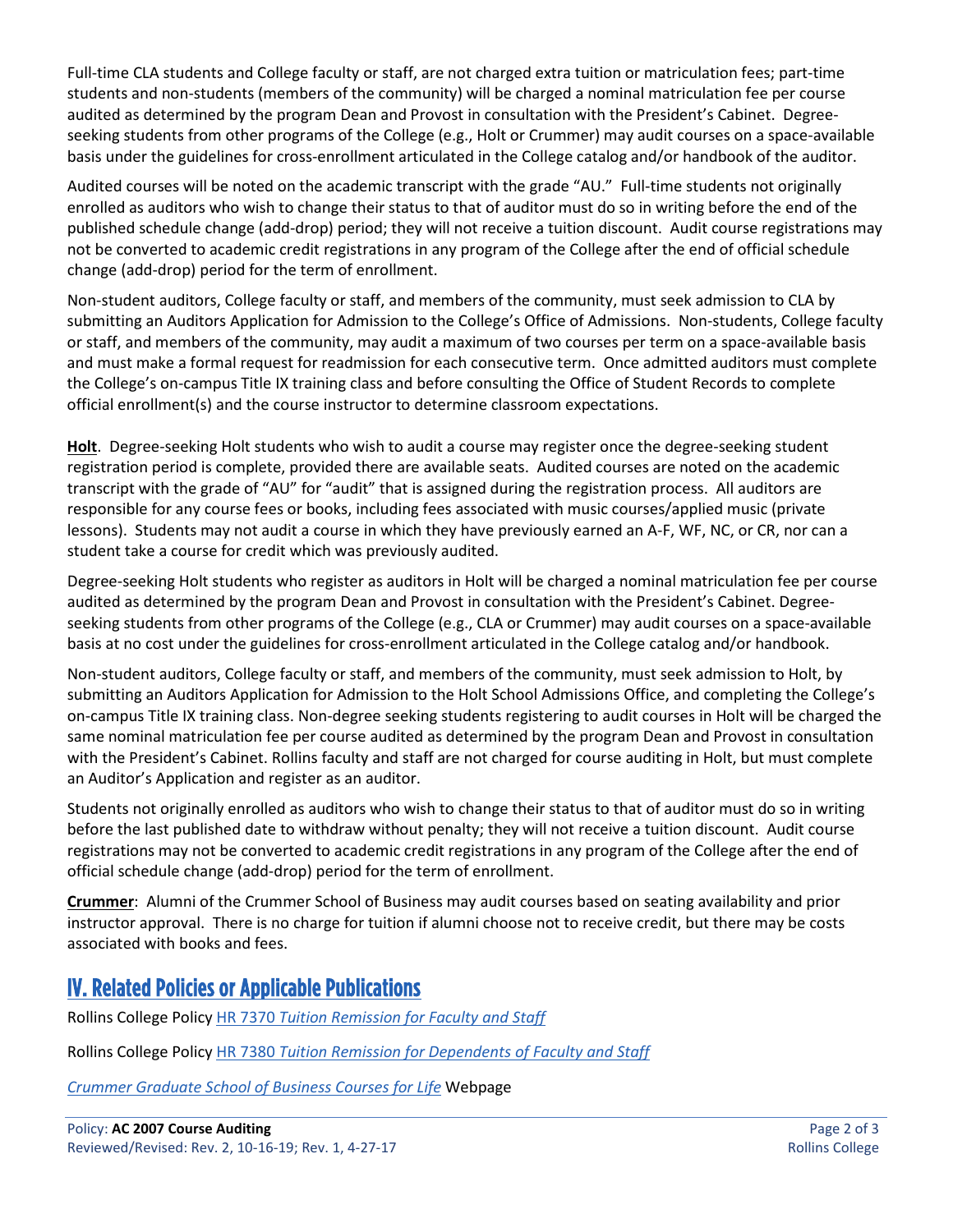Full-time CLA students and College faculty or staff, are not charged extra tuition or matriculation fees; part-time students and non-students (members of the community) will be charged a nominal matriculation fee per course audited as determined by the program Dean and Provost in consultation with the President's Cabinet. Degreeseeking students from other programs of the College (e.g., Holt or Crummer) may audit courses on a space-available basis under the guidelines for cross-enrollment articulated in the College catalog and/or handbook of the auditor.

Audited courses will be noted on the academic transcript with the grade "AU." Full-time students not originally enrolled as auditors who wish to change their status to that of auditor must do so in writing before the end of the published schedule change (add-drop) period; they will not receive a tuition discount. Audit course registrations may not be converted to academic credit registrations in any program of the College after the end of official schedule change (add-drop) period for the term of enrollment.

Non-student auditors, College faculty or staff, and members of the community, must seek admission to CLA by submitting an Auditors Application for Admission to the College's Office of Admissions. Non-students, College faculty or staff, and members of the community, may audit a maximum of two courses per term on a space-available basis and must make a formal request for readmission for each consecutive term. Once admitted auditors must complete the College's on-campus Title IX training class and before consulting the Office of Student Records to complete official enrollment(s) and the course instructor to determine classroom expectations.

**Holt**. Degree-seeking Holt students who wish to audit a course may register once the degree-seeking student registration period is complete, provided there are available seats. Audited courses are noted on the academic transcript with the grade of "AU" for "audit" that is assigned during the registration process. All auditors are responsible for any course fees or books, including fees associated with music courses/applied music (private lessons). Students may not audit a course in which they have previously earned an A-F, WF, NC, or CR, nor can a student take a course for credit which was previously audited.

Degree-seeking Holt students who register as auditors in Holt will be charged a nominal matriculation fee per course audited as determined by the program Dean and Provost in consultation with the President's Cabinet. Degreeseeking students from other programs of the College (e.g., CLA or Crummer) may audit courses on a space-available basis at no cost under the guidelines for cross-enrollment articulated in the College catalog and/or handbook.

Non-student auditors, College faculty or staff, and members of the community, must seek admission to Holt, by submitting an Auditors Application for Admission to the Holt School Admissions Office, and completing the College's on-campus Title IX training class. Non-degree seeking students registering to audit courses in Holt will be charged the same nominal matriculation fee per course audited as determined by the program Dean and Provost in consultation with the President's Cabinet. Rollins faculty and staff are not charged for course auditing in Holt, but must complete an Auditor's Application and register as an auditor.

Students not originally enrolled as auditors who wish to change their status to that of auditor must do so in writing before the last published date to withdraw without penalty; they will not receive a tuition discount. Audit course registrations may not be converted to academic credit registrations in any program of the College after the end of official schedule change (add-drop) period for the term of enrollment.

**Crummer**: Alumni of the Crummer School of Business may audit courses based on seating availability and prior instructor approval. There is no charge for tuition if alumni choose not to receive credit, but there may be costs associated with books and fees.

#### IV. Related Policies or Applicable Publications

Rollins College Policy HR 7370 *[Tuition Remission for Faculty and Staff](https://www.rollins.edu/human-resources/documents/policies/benefits/HR7370_tuition-remission-for-faculty-and-staff_03.26.2014.pdf)*

Rollins College Policy HR 7380 *Tuition Remission for Dependents of Faculty and Staff*

*[Crummer Graduate School of Business Courses for Life](https://www.rollins.edu/business/why-crummer/courses-for-life.html)* Webpage